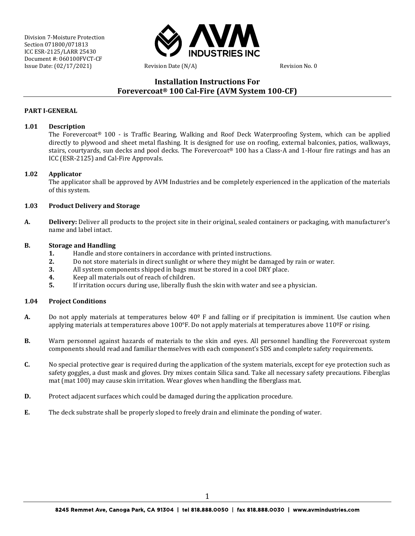

## **Installation Instructions For Forevercoat® 100 Cal-Fire (AVM System 100-CF)**

#### **PART I-GENERAL**

#### **1.01 Description**

The Forevercoat® 100 - is Traffic Bearing, Walking and Roof Deck Waterproofing System, which can be applied directly to plywood and sheet metal flashing. It is designed for use on roofing, external balconies, patios, walkways, stairs, courtyards, sun decks and pool decks. The Forevercoat® 100 has a Class-A and 1-Hour fire ratings and has an ICC (ESR-2125) and Cal-Fire Approvals.

#### **1.02 Applicator**

The applicator shall be approved by AVM Industries and be completely experienced in the application of the materials of this system.

#### **1.03 Product Delivery and Storage**

**A. Delivery:** Deliver all products to the project site in their original, sealed containers or packaging, with manufacturer's name and label intact.

#### **B. Storage and Handling**

- **1.** Handle and store containers in accordance with printed instructions.<br>**2.** Do not store materials in direct sunlight or where they might be dama
- **2.** Do not store materials in direct sunlight or where they might be damaged by rain or water.<br>**3.** All system components shipped in bags must be stored in a cool DRY place.
- **3.** All system components shipped in bags must be stored in a cool DRY place.<br>**4.** Keep all materials out of reach of children.
- **4.** Keep all materials out of reach of children.<br>**5.** If irritation occurs during use, liberally flus
- **5.** If irritation occurs during use, liberally flush the skin with water and see a physician.

#### **1.04 Project Conditions**

- **A.** Do not apply materials at temperatures below 40º F and falling or if precipitation is imminent. Use caution when applying materials at temperatures above 100°F. Do not apply materials at temperatures above 110ºF or rising.
- **B.** Warn personnel against hazards of materials to the skin and eyes. All personnel handling the Forevercoat system components should read and familiar themselves with each component's SDS and complete safety requirements.
- **C.** No special protective gear is required during the application of the system materials, except for eye protection such as safety goggles, a dust mask and gloves. Dry mixes contain Silica sand. Take all necessary safety precautions. Fiberglas mat (mat 100) may cause skin irritation. Wear gloves when handling the fiberglass mat.
- **D.** Protect adjacent surfaces which could be damaged during the application procedure.
- **E.** The deck substrate shall be properly sloped to freely drain and eliminate the ponding of water.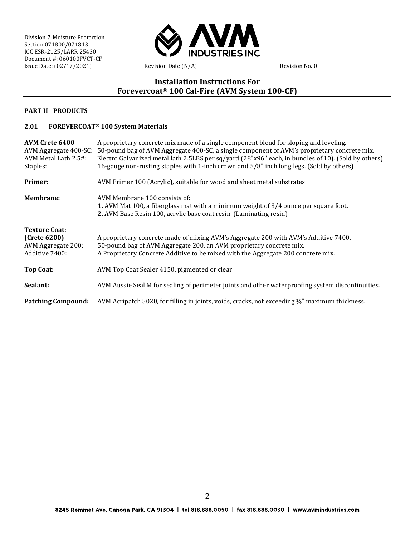

# **Installation Instructions For Forevercoat® 100 Cal-Fire (AVM System 100-CF)**

#### **PART II - PRODUCTS**

### **2.01 FOREVERCOAT® 100 System Materials**

| AVM Crete 6400<br>AVM Metal Lath 2.5#:<br>Staples:                           | A proprietary concrete mix made of a single component blend for sloping and leveling.<br>AVM Aggregate 400-SC: 50-pound bag of AVM Aggregate 400-SC, a single component of AVM's proprietary concrete mix.<br>Electro Galvanized metal lath 2.5LBS per sq/yard (28"x96" each, in bundles of 10). (Sold by others)<br>16-gauge non-rusting staples with 1-inch crown and 5/8" inch long legs. (Sold by others) |
|------------------------------------------------------------------------------|---------------------------------------------------------------------------------------------------------------------------------------------------------------------------------------------------------------------------------------------------------------------------------------------------------------------------------------------------------------------------------------------------------------|
| Primer:                                                                      | AVM Primer 100 (Acrylic), suitable for wood and sheet metal substrates.                                                                                                                                                                                                                                                                                                                                       |
| <b>Membrane:</b>                                                             | AVM Membrane 100 consists of:<br><b>1.</b> AVM Mat 100, a fiberglass mat with a minimum weight of 3/4 ounce per square foot.<br>2. AVM Base Resin 100, acrylic base coat resin. (Laminating resin)                                                                                                                                                                                                            |
| <b>Texture Coat:</b><br>(Crete 6200)<br>AVM Aggregate 200:<br>Additive 7400: | A proprietary concrete made of mixing AVM's Aggregate 200 with AVM's Additive 7400.<br>50-pound bag of AVM Aggregate 200, an AVM proprietary concrete mix.<br>A Proprietary Concrete Additive to be mixed with the Aggregate 200 concrete mix.                                                                                                                                                                |
| <b>Top Coat:</b>                                                             | AVM Top Coat Sealer 4150, pigmented or clear.                                                                                                                                                                                                                                                                                                                                                                 |
| Sealant:                                                                     | AVM Aussie Seal M for sealing of perimeter joints and other waterproofing system discontinuities.                                                                                                                                                                                                                                                                                                             |
| <b>Patching Compound:</b>                                                    | AVM Acripatch 5020, for filling in joints, voids, cracks, not exceeding 1/4" maximum thickness.                                                                                                                                                                                                                                                                                                               |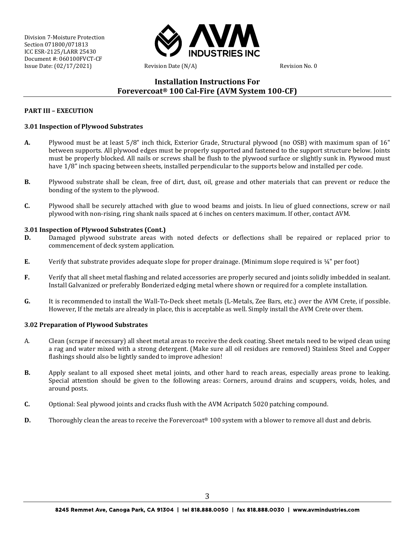

## **Installation Instructions For Forevercoat® 100 Cal-Fire (AVM System 100-CF)**

#### **PART III – EXECUTION**

### **3.01 Inspection of Plywood Substrates**

- **A.** Plywood must be at least 5/8" inch thick, Exterior Grade, Structural plywood (no OSB) with maximum span of 16" between supports. All plywood edges must be properly supported and fastened to the support structure below. Joints must be properly blocked. All nails or screws shall be flush to the plywood surface or slightly sunk in. Plywood must have 1/8" inch spacing between sheets, installed perpendicular to the supports below and installed per code.
- **B.** Plywood substrate shall be clean, free of dirt, dust, oil, grease and other materials that can prevent or reduce the bonding of the system to the plywood.
- **C.** Plywood shall be securely attached with glue to wood beams and joists. In lieu of glued connections, screw or nail plywood with non-rising, ring shank nails spaced at 6 inches on centers maximum. If other, contact AVM.

#### **3.01 Inspection of Plywood Substrates (Cont.)**

- **D.** Damaged plywood substrate areas with noted defects or deflections shall be repaired or replaced prior to commencement of deck system application.
- **E.** Verify that substrate provides adequate slope for proper drainage. (Minimum slope required is ¼" per foot)
- **F.** Verify that all sheet metal flashing and related accessories are properly secured and joints solidly imbedded in sealant. Install Galvanized or preferably Bonderized edging metal where shown or required for a complete installation.
- **G.** It is recommended to install the Wall-To-Deck sheet metals (L-Metals, Zee Bars, etc.) over the AVM Crete, if possible. However, If the metals are already in place, this is acceptable as well. Simply install the AVM Crete over them.

#### **3.02 Preparation of Plywood Substrates**

- A. Clean (scrape if necessary) all sheet metal areas to receive the deck coating. Sheet metals need to be wiped clean using a rag and water mixed with a strong detergent. (Make sure all oil residues are removed) Stainless Steel and Copper flashings should also be lightly sanded to improve adhesion!
- **B.** Apply sealant to all exposed sheet metal joints, and other hard to reach areas, especially areas prone to leaking. Special attention should be given to the following areas: Corners, around drains and scuppers, voids, holes, and around posts.
- **C.** Optional: Seal plywood joints and cracks flush with the AVM Acripatch 5020 patching compound.
- **D.** Thoroughly clean the areas to receive the Forevercoat<sup>®</sup> 100 system with a blower to remove all dust and debris.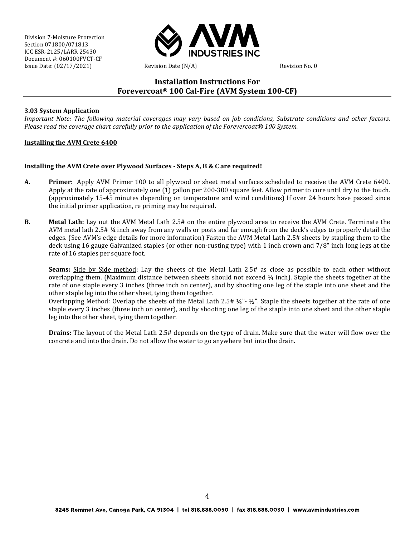

### **Installation Instructions For Forevercoat® 100 Cal-Fire (AVM System 100-CF)**

### **3.03 System Application**

*Important Note: The following material coverages may vary based on job conditions, Substrate conditions and other factors. Please read the coverage chart carefully prior to the application of the Forevercoat® 100 System.*

#### **Installing the AVM Crete 6400**

### **Installing the AVM Crete over Plywood Surfaces - Steps A, B & C are required!**

- **A. Primer:** Apply AVM Primer 100 to all plywood or sheet metal surfaces scheduled to receive the AVM Crete 6400. Apply at the rate of approximately one (1) gallon per 200-300 square feet. Allow primer to cure until dry to the touch. (approximately 15-45 minutes depending on temperature and wind conditions) If over 24 hours have passed since the initial primer application, re priming may be required.
- **B. Metal Lath:** Lay out the AVM Metal Lath 2.5# on the entire plywood area to receive the AVM Crete. Terminate the AVM metal lath 2.5# ¼ inch away from any walls or posts and far enough from the deck's edges to properly detail the edges. (See AVM's edge details for more information) Fasten the AVM Metal Lath 2.5# sheets by stapling them to the deck using 16 gauge Galvanized staples (or other non-rusting type) with 1 inch crown and 7/8" inch long legs at the rate of 16 staples per square foot.

**Seams:** Side by Side method: Lay the sheets of the Metal Lath 2.5# as close as possible to each other without overlapping them. (Maximum distance between sheets should not exceed ¼ inch). Staple the sheets together at the rate of one staple every 3 inches (three inch on center), and by shooting one leg of the staple into one sheet and the other staple leg into the other sheet, tying them together.

Overlapping Method: Overlap the sheets of the Metal Lath 2.5# ¼"- ½". Staple the sheets together at the rate of one staple every 3 inches (three inch on center), and by shooting one leg of the staple into one sheet and the other staple leg into the other sheet, tying them together.

**Drains:** The layout of the Metal Lath 2.5# depends on the type of drain. Make sure that the water will flow over the concrete and into the drain. Do not allow the water to go anywhere but into the drain.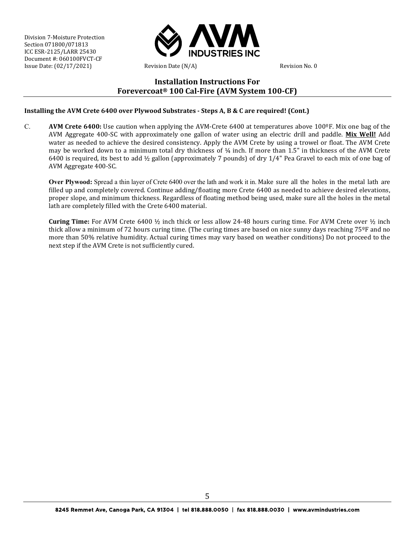

## **Installation Instructions For Forevercoat® 100 Cal-Fire (AVM System 100-CF)**

**Installing the AVM Crete 6400 over Plywood Substrates - Steps A, B & C are required! (Cont.)**

C. **AVM Crete 6400:** Use caution when applying the AVM-Crete 6400 at temperatures above 100ºF. Mix one bag of the AVM Aggregate 400-SC with approximately one gallon of water using an electric drill and paddle. **Mix Well!** Add water as needed to achieve the desired consistency. Apply the AVM Crete by using a trowel or float. The AVM Crete may be worked down to a minimum total dry thickness of ¼ inch. If more than 1.5" in thickness of the AVM Crete 6400 is required, its best to add ½ gallon (approximately 7 pounds) of dry 1/4" Pea Gravel to each mix of one bag of AVM Aggregate 400-SC.

**Over Plywood:** Spread a thin layer of Crete 6400 over the lath and work it in. Make sure all the holes in the metal lath are filled up and completely covered. Continue adding/floating more Crete 6400 as needed to achieve desired elevations, proper slope, and minimum thickness. Regardless of floating method being used, make sure all the holes in the metal lath are completely filled with the Crete 6400 material.

**Curing Time:** For AVM Crete 6400 ½ inch thick or less allow 24-48 hours curing time. For AVM Crete over ½ inch thick allow a minimum of 72 hours curing time. (The curing times are based on nice sunny days reaching 75<sup>°</sup>F and no more than 50% relative humidity. Actual curing times may vary based on weather conditions) Do not proceed to the next step if the AVM Crete is not sufficiently cured.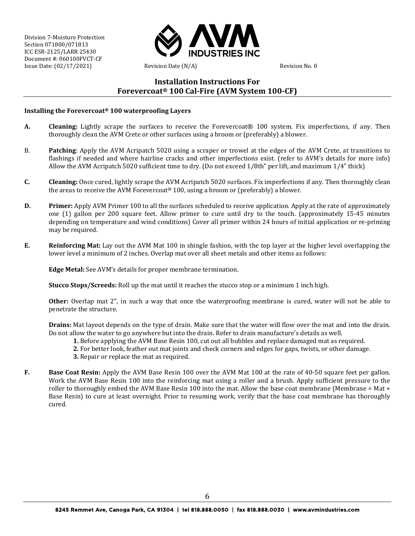

### **Installation Instructions For Forevercoat® 100 Cal-Fire (AVM System 100-CF)**

#### **Installing the Forevercoat® 100 waterproofing Layers**

- **A. Cleaning:** Lightly scrape the surfaces to receive the Forevercoat® 100 system. Fix imperfections, if any. Then thoroughly clean the AVM Crete or other surfaces using a broom or (preferably) a blower.
- B. **Patching**: Apply the AVM Acripatch 5020 using a scraper or trowel at the edges of the AVM Crete, at transitions to flashings if needed and where hairline cracks and other imperfections exist. (refer to AVM's details for more info) Allow the AVM Acripatch 5020 sufficient time to dry. (Do not exceed 1/8th" per lift, and maximum 1/4" thick)
- **C. Cleaning:** Once cured, lightly scrape the AVM Acripatch 5020 surfaces. Fix imperfections if any. Then thoroughly clean the areas to receive the AVM Forevercoat® 100, using a broom or (preferably) a blower.
- **D. Primer:** Apply AVM Primer 100 to all the surfaces scheduled to receive application. Apply at the rate of approximately one (1) gallon per 200 square feet. Allow primer to cure until dry to the touch. (approximately 15-45 minutes depending on temperature and wind conditions) Cover all primer within 24 hours of initial application or re-priming may be required.
- **E. Reinforcing Mat:** Lay out the AVM Mat 100 in shingle fashion, with the top layer at the higher level overlapping the lower level a minimum of 2 inches. Overlap mat over all sheet metals and other items as follows:

**Edge Metal:** See AVM's details for proper membrane termination.

**Stucco Stops/Screeds:** Roll up the mat until it reaches the stucco stop or a minimum 1 inch high.

**Other:** Overlap mat 2", in such a way that once the waterproofing membrane is cured, water will not be able to penetrate the structure.

**Drains:** Mat layout depends on the type of drain. Make sure that the water will flow over the mat and into the drain. Do not allow the water to go anywhere but into the drain. Refer to drain manufacture's details as well.

- **1.** Before applying the AVM Base Resin 100, cut out all bubbles and replace damaged mat as required.
- **2.** For better look, feather out mat joints and check corners and edges for gaps, twists, or other damage.
- **3.** Repair or replace the mat as required.
- **F. Base Coat Resin:** Apply the AVM Base Resin 100 over the AVM Mat 100 at the rate of 40-50 square feet per gallon. Work the AVM Base Resin 100 into the reinforcing mat using a roller and a brush. Apply sufficient pressure to the roller to thoroughly embed the AVM Base Resin 100 into the mat. Allow the base coat membrane (Membrane = Mat + Base Resin) to cure at least overnight. Prior to resuming work, verify that the base coat membrane has thoroughly cured.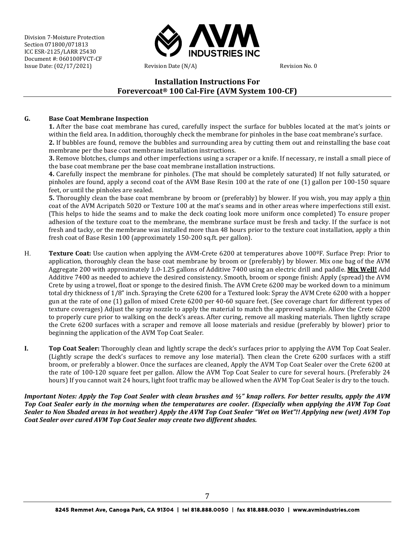

## **Installation Instructions For Forevercoat® 100 Cal-Fire (AVM System 100-CF)**

### **G. Base Coat Membrane Inspection**

**1.** After the base coat membrane has cured, carefully inspect the surface for bubbles located at the mat's joints or within the field area. In addition, thoroughly check the membrane for pinholes in the base coat membrane's surface. **2.** If bubbles are found, remove the bubbles and surrounding area by cutting them out and reinstalling the base coat

membrane per the base coat membrane installation instructions. **3.** Remove blotches, clumps and other imperfections using a scraper or a knife. If necessary, re install a small piece of the base coat membrane per the base coat membrane installation instructions.

**4.** Carefully inspect the membrane for pinholes. (The mat should be completely saturated) If not fully saturated, or pinholes are found, apply a second coat of the AVM Base Resin 100 at the rate of one (1) gallon per 100-150 square feet, or until the pinholes are sealed.

**5.** Thoroughly clean the base coat membrane by broom or (preferably) by blower. If you wish, you may apply a thin coat of the AVM Acripatch 5020 or Texture 100 at the mat's seams and in other areas where imperfections still exist. (This helps to hide the seams and to make the deck coating look more uniform once completed) To ensure proper adhesion of the texture coat to the membrane, the membrane surface must be fresh and tacky. If the surface is not fresh and tacky, or the membrane was installed more than 48 hours prior to the texture coat installation, apply a thin fresh coat of Base Resin 100 (approximately 150-200 sq.ft. per gallon).

- H. **Texture Coat:** Use caution when applying the AVM-Crete 6200 at temperatures above 100ºF. Surface Prep: Prior to application, thoroughly clean the base coat membrane by broom or (preferably) by blower. Mix one bag of the AVM Aggregate 200 with approximately 1.0-1.25 gallons of Additive 7400 using an electric drill and paddle. **Mix Well!** Add Additive 7400 as needed to achieve the desired consistency. Smooth, broom or sponge finish: Apply (spread) the AVM Crete by using a trowel, float or sponge to the desired finish. The AVM Crete 6200 may be worked down to a minimum total dry thickness of 1/8" inch. Spraying the Crete 6200 for a Textured look: Spray the AVM Crete 6200 with a hopper gun at the rate of one (1) gallon of mixed Crete 6200 per 40-60 square feet. (See coverage chart for different types of texture coverages) Adjust the spray nozzle to apply the material to match the approved sample. Allow the Crete 6200 to properly cure prior to walking on the deck's areas. After curing, remove all masking materials. Then lightly scrape the Crete 6200 surfaces with a scraper and remove all loose materials and residue (preferably by blower) prior to beginning the application of the AVM Top Coat Sealer.
- **I. Top Coat Sealer:** Thoroughly clean and lightly scrape the deck's surfaces prior to applying the AVM Top Coat Sealer. (Lightly scrape the deck's surfaces to remove any lose material). Then clean the Crete 6200 surfaces with a stiff broom, or preferably a blower. Once the surfaces are cleaned, Apply the AVM Top Coat Sealer over the Crete 6200 at the rate of 100-120 square feet per gallon. Allow the AVM Top Coat Sealer to cure for several hours. (Preferably 24 hours) If you cannot wait 24 hours, light foot traffic may be allowed when the AVM Top Coat Sealer is dry to the touch.

*Important Notes: Apply the Top Coat Sealer with clean brushes and ½" knap rollers. For better results, apply the AVM Top Coat Sealer early in the morning when the temperatures are cooler. (Especially when applying the AVM Top Coat Sealer to Non Shaded areas in hot weather) Apply the AVM Top Coat Sealer "Wet on Wet"!! Applying new (wet) AVM Top Coat Sealer over cured AVM Top Coat Sealer may create two different shades.*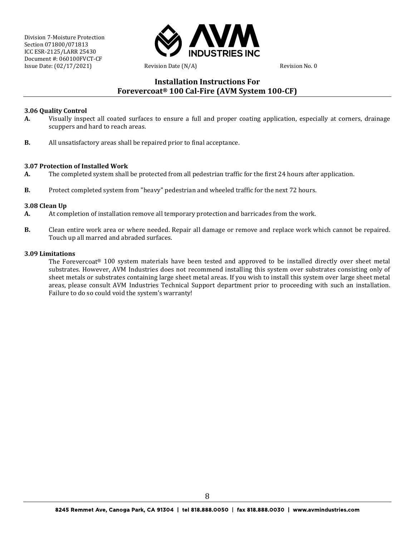

### **Installation Instructions For Forevercoat® 100 Cal-Fire (AVM System 100-CF)**

#### **3.06 Quality Control**

- **A.** Visually inspect all coated surfaces to ensure a full and proper coating application, especially at corners, drainage scuppers and hard to reach areas.
- **B.** All unsatisfactory areas shall be repaired prior to final acceptance.

#### **3.07 Protection of Installed Work**

- **A.** The completed system shall be protected from all pedestrian traffic for the first 24 hours after application.
- **B.** Protect completed system from "heavy" pedestrian and wheeled traffic for the next 72 hours.

#### **3.08 Clean Up**

- **A.** At completion of installation remove all temporary protection and barricades from the work.
- **B.** Clean entire work area or where needed. Repair all damage or remove and replace work which cannot be repaired. Touch up all marred and abraded surfaces.

#### **3.09 Limitations**

The Forevercoat® 100 system materials have been tested and approved to be installed directly over sheet metal substrates. However, AVM Industries does not recommend installing this system over substrates consisting only of sheet metals or substrates containing large sheet metal areas. If you wish to install this system over large sheet metal areas, please consult AVM Industries Technical Support department prior to proceeding with such an installation. Failure to do so could void the system's warranty!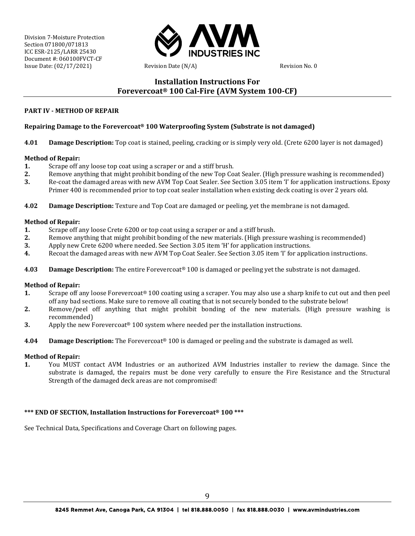

### **Installation Instructions For Forevercoat® 100 Cal-Fire (AVM System 100-CF)**

#### **PART IV - METHOD OF REPAIR**

#### **Repairing Damage to the Forevercoat® 100 Waterproofing System (Substrate is not damaged)**

**4.01 Damage Description:** Top coat is stained, peeling, cracking or is simply very old. (Crete 6200 layer is not damaged)

#### **Method of Repair:**

- **1.** Scrape off any loose top coat using a scraper or and a stiff brush.<br>**2.** Remove anything that might prohibit bonding of the new Top Co.
- **2.** Remove anything that might prohibit bonding of the new Top Coat Sealer. (High pressure washing is recommended)<br>**3.** Re-coat the damaged areas with new AVM Top Coat Sealer. See Section 3.05 item 'I' for application ins
- **3.** Re-coat the damaged areas with new AVM Top Coat Sealer. See Section 3.05 item 'I' for application instructions. Epoxy Primer 400 is recommended prior to top coat sealer installation when existing deck coating is over 2 years old.
- **4.02 Damage Description:** Texture and Top Coat are damaged or peeling, yet the membrane is not damaged.

#### **Method of Repair:**

- **1.** Scrape off any loose Crete 6200 or top coat using a scraper or and a stiff brush.<br>**2.** Remove anything that might prohibit bonding of the new materials. (High press
- **2.** Remove anything that might prohibit bonding of the new materials. (High pressure washing is recommended) **3.** Apply new Crete 6200 where needed See Section 3.05 item 'H' for application instructions
- **3.** Apply new Crete 6200 where needed. See Section 3.05 item 'H' for application instructions.
- **4.** Recoat the damaged areas with new AVM Top Coat Sealer. See Section 3.05 item 'I' for application instructions.
- **4.03 Damage Description:** The entire Forevercoat® 100 is damaged or peeling yet the substrate is not damaged.

#### **Method of Repair:**

- **1.** Scrape off any loose Forevercoat® 100 coating using a scraper. You may also use a sharp knife to cut out and then peel off any bad sections. Make sure to remove all coating that is not securely bonded to the substrate below!
- **2.** Remove/peel off anything that might prohibit bonding of the new materials. (High pressure washing is recommended)
- **3.** Apply the new Forevercoat<sup>®</sup> 100 system where needed per the installation instructions.
- **4.04 Damage Description:** The Forevercoat® 100 is damaged or peeling and the substrate is damaged as well.

#### **Method of Repair:**

**1.** You MUST contact AVM Industries or an authorized AVM Industries installer to review the damage. Since the substrate is damaged, the repairs must be done very carefully to ensure the Fire Resistance and the Structural Strength of the damaged deck areas are not compromised!

#### **\*\*\* END OF SECTION, Installation Instructions for Forevercoat® 100 \*\*\***

See Technical Data, Specifications and Coverage Chart on following pages.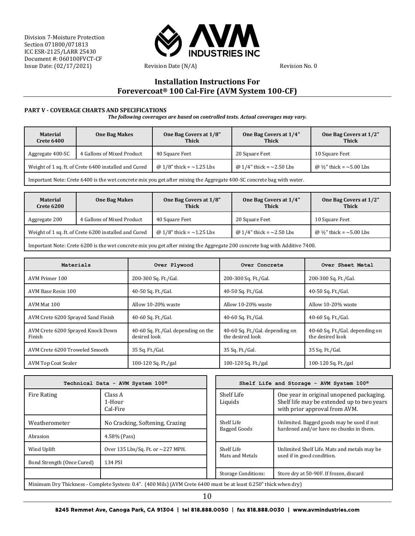

## **Installation Instructions For Forevercoat® 100 Cal-Fire (AVM System 100-CF)**

#### **PART V - COVERAGE CHARTS AND SPECIFICATIONS**

*The following coverages are based on controlled tests. Actual coverages may vary.*

| <b>Material</b><br><b>Crete 6400</b>                  | <b>One Bag Makes</b>       | One Bag Covers at 1/8"<br>Thick | One Bag Covers at 1/4"<br><b>Thick</b> | One Bag Covers at 1/2"<br>Thick     |
|-------------------------------------------------------|----------------------------|---------------------------------|----------------------------------------|-------------------------------------|
| Aggregate 400-SC                                      | 4 Gallons of Mixed Product | 40 Square Feet                  | 20 Square Feet                         | 10 Square Feet                      |
| Weight of 1 sq. ft. of Crete 6400 installed and Cured |                            | @ 1/8" thick = $\sim$ 1.25 Lbs  | @ $1/4$ " thick = $\sim$ 2.50 Lbs      | @ $\frac{1}{2}$ " thick = ~5.00 Lbs |
|                                                       |                            |                                 |                                        |                                     |

Important Note: Crete 6400 is the wet concrete mix you get after mixing the Aggregate 400-SC concrete bag with water.

| <b>Material</b><br><b>Crete 6200</b>                  | <b>One Bag Makes</b>       | One Bag Covers at 1/8"<br><b>Thick</b> | One Bag Covers at 1/4"<br><b>Thick</b> | One Bag Covers at 1/2"<br><b>Thick</b> |
|-------------------------------------------------------|----------------------------|----------------------------------------|----------------------------------------|----------------------------------------|
| Aggregate 200                                         | 4 Gallons of Mixed Product | 40 Square Feet                         | 20 Square Feet                         | 10 Square Feet                         |
| Weight of 1 sq. ft. of Crete 6200 installed and Cured |                            | @ 1/8" thick = $\sim$ 1.25 Lbs         | @ $1/4"$ thick = $\sim$ 2.50 Lbs       | @ $\frac{1}{2}$ " thick = ~5.00 Lbs    |
|                                                       |                            |                                        |                                        |                                        |

Important Note: Crete 6200 is the wet concrete mix you get after mixing the Aggregate 200 concrete bag with Additive 7400.

| Materials                                   | Over Plywood                                        | Over Concrete                                       | Over Sheet Metal                                    |
|---------------------------------------------|-----------------------------------------------------|-----------------------------------------------------|-----------------------------------------------------|
| AVM Primer 100                              | 200-300 Sq. Ft./Gal.                                | 200-300 Sq. Ft./Gal.                                | 200-300 Sq. Ft./Gal.                                |
| AVM Base Resin 100                          | 40-50 Sq. Ft./Gal.                                  | 40-50 Sq. Ft./Gal.                                  | 40-50 Sq. Ft./Gal.                                  |
| AVM Mat 100                                 | Allow 10-20% waste                                  | Allow 10-20% waste                                  | Allow 10-20% waste                                  |
| AVM Crete 6200 Sprayed Sand Finish          | 40-60 Sq. Ft./Gal.                                  | 40-60 Sq. Ft./Gal.                                  | 40-60 Sq. Ft./Gal.                                  |
| AVM Crete 6200 Sprayed Knock Down<br>Finish | 40-60 Sq. Ft./Gal. depending on the<br>desired look | 40-60 Sq. Ft./Gal. depending on<br>the desired look | 40-60 Sq. Ft./Gal. depending on<br>the desired look |
| AVM Crete 6200 Troweled Smooth              | 35 Sq. Ft./Gal.                                     | 35 Sq. Ft./Gal.                                     | 35 Sq. Ft./Gal.                                     |
| AVM Top Coat Sealer                         | 100-120 Sq. Ft./gal                                 | 100-120 Sq. Ft./gal                                 | 100-120 Sq. Ft./gal                                 |

| Technical Data - AVM System 100 <sup>®</sup>                                                                      |                                   |  |                            | Shelf Life and Storage - AVM System 100 <sup>®</sup>                                                                    |  |
|-------------------------------------------------------------------------------------------------------------------|-----------------------------------|--|----------------------------|-------------------------------------------------------------------------------------------------------------------------|--|
| Fire Rating                                                                                                       | Class A<br>1-Hour<br>Cal-Fire     |  | Shelf Life<br>Liquids      | One year in original unopened packaging.<br>Shelf life may be extended up to two years<br>with prior approval from AVM. |  |
| Weatherometer                                                                                                     | No Cracking, Softening, Crazing   |  | Shelf Life<br>Bagged Goods | Unlimited. Bagged goods may be used if not<br>hardened and/or have no chunks in them.                                   |  |
| Abrasion                                                                                                          | 4.58% (Pass)                      |  |                            |                                                                                                                         |  |
| Wind Uplift                                                                                                       | Over 135 Lbs/Sq. Ft. or ~227 MPH. |  | Shelf Life                 | Unlimited Shelf Life. Mats and metals may be                                                                            |  |
| Bond Strength (Once Cured)                                                                                        | 134 PSI                           |  | Mats and Metals            | used if in good condition.                                                                                              |  |
|                                                                                                                   |                                   |  | <b>Storage Conditions:</b> | Store dry at 50-90F. If frozen, discard                                                                                 |  |
| Minimum Dry Thickness - Complete System: 0.4". (400 Mils) (AVM Crete 6400 must be at least 0.250" thick when dry) |                                   |  |                            |                                                                                                                         |  |

10